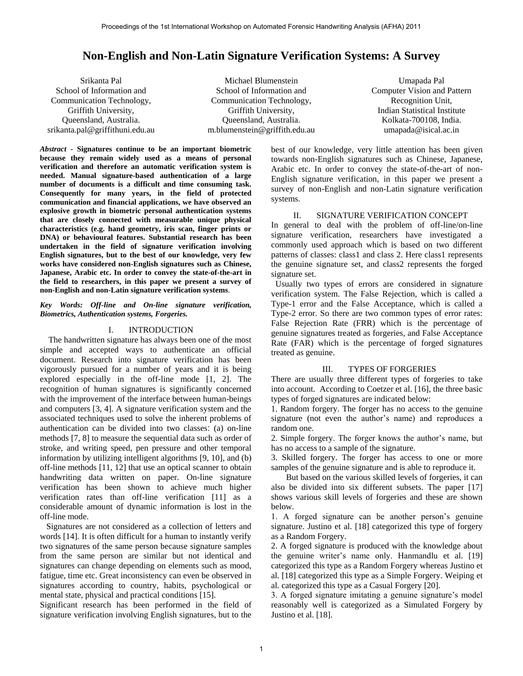# **Non-English and Non-Latin Signature Verification Systems: A Survey**

Srikanta Pal School of Information and Communication Technology, Griffith University, Queensland, Australia. srikanta.pal@griffithuni.edu.au

Michael Blumenstein School of Information and Communication Technology, Griffith University, Queensland, Australia. m.blumenstein@griffith.edu.au

Umapada Pal Computer Vision and Pattern Recognition Unit, Indian Statistical Institute Kolkata-700108, India. umapada@isical.ac.in

*Abstract* **- Signatures continue to be an important biometric because they remain widely used as a means of personal verification and therefore an automatic verification system is needed. Manual signature-based authentication of a large number of documents is a difficult and time consuming task. Consequently for many years, in the field of protected communication and financial applications, we have observed an explosive growth in biometric personal authentication systems that are closely connected with measurable unique physical characteristics (e.g. hand geometry, iris scan, finger prints or DNA) or behavioural features. Substantial research has been undertaken in the field of signature verification involving English signatures, but to the best of our knowledge, very few works have considered non-English signatures such as Chinese, Japanese, Arabic etc. In order to convey the state-of-the-art in the field to researchers, in this paper we present a survey of non-English and non-Latin signature verification systems**.

*Key Words: Off-line and On-line signature verification, Biometrics, Authentication systems, Forgeries.* 

#### I. INTRODUCTION

 The handwritten signature has always been one of the most simple and accepted ways to authenticate an official document. Research into signature verification has been vigorously pursued for a number of years and it is being explored especially in the off-line mode [1, 2]. The recognition of human signatures is significantly concerned with the improvement of the interface between human-beings and computers [3, 4]. A signature verification system and the associated techniques used to solve the inherent problems of authentication can be divided into two classes: (a) on-line methods [7, 8] to measure the sequential data such as order of stroke, and writing speed, pen pressure and other temporal information by utilizing intelligent algorithms [9, 10], and (b) off-line methods [11, 12] that use an optical scanner to obtain handwriting data written on paper. On-line signature verification has been shown to achieve much higher verification rates than off-line verification [11] as a considerable amount of dynamic information is lost in the off-line mode.

 Signatures are not considered as a collection of letters and words [14]. It is often difficult for a human to instantly verify two signatures of the same person because signature samples from the same person are similar but not identical and signatures can change depending on elements such as mood, fatigue, time etc. Great inconsistency can even be observed in signatures according to country, habits, psychological or mental state, physical and practical conditions [15].

Significant research has been performed in the field of signature verification involving English signatures, but to the

best of our knowledge, very little attention has been given towards non-English signatures such as Chinese, Japanese, Arabic etc. In order to convey the state-of-the-art of non-English signature verification, in this paper we present a survey of non-English and non-Latin signature verification systems.

#### II. SIGNATURE VERIFICATION CONCEPT

In general to deal with the problem of off-line/on-line signature verification, researchers have investigated a commonly used approach which is based on two different patterns of classes: class1 and class 2. Here class1 represents the genuine signature set, and class2 represents the forged signature set.

Usually two types of errors are considered in signature verification system. The False Rejection, which is called a Type-1 error and the False Acceptance, which is called a Type-2 error. So there are two common types of error rates: False Rejection Rate (FRR) which is the percentage of genuine signatures treated as forgeries, and False Acceptance Rate (FAR) which is the percentage of forged signatures treated as genuine.

# III. TYPES OF FORGERIES

There are usually three different types of forgeries to take into account. According to Coetzer et al. [16], the three basic types of forged signatures are indicated below:

1. Random forgery. The forger has no access to the genuine signature (not even the author's name) and reproduces a random one.

2. Simple forgery. The forger knows the author"s name, but has no access to a sample of the signature.

3. Skilled forgery. The forger has access to one or more samples of the genuine signature and is able to reproduce it.

 But based on the various skilled levels of forgeries, it can also be divided into six different subsets. The paper [17] shows various skill levels of forgeries and these are shown below.

1. A forged signature can be another person"s genuine signature. Justino et al. [18] categorized this type of forgery as a Random Forgery.

2. A forged signature is produced with the knowledge about the genuine writer"s name only. Hanmandlu et al. [19] categorized this type as a Random Forgery whereas Justino et al. [18] categorized this type as a Simple Forgery. Weiping et al. categorized this type as a Casual Forgery [20].

3. A forged signature imitating a genuine signature"s model reasonably well is categorized as a Simulated Forgery by Justino et al. [18].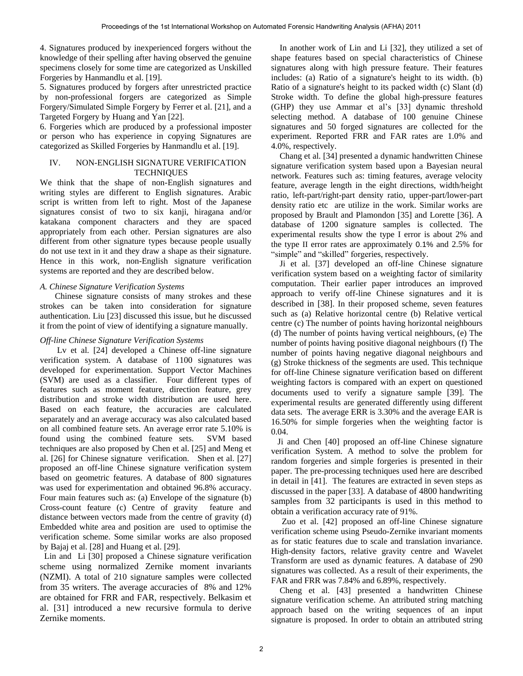4. Signatures produced by inexperienced forgers without the knowledge of their spelling after having observed the genuine specimens closely for some time are categorized as Unskilled Forgeries by Hanmandlu et al. [19].

5. Signatures produced by forgers after unrestricted practice by non-professional forgers are categorized as Simple Forgery/Simulated Simple Forgery by Ferrer et al. [21], and a Targeted Forgery by Huang and Yan [22].

6. Forgeries which are produced by a professional imposter or person who has experience in copying Signatures are categorized as Skilled Forgeries by Hanmandlu et al. [19].

### IV. NON-ENGLISH SIGNATURE VERIFICATION **TECHNIQUES**

We think that the shape of non-English signatures and writing styles are different to English signatures. Arabic script is written from left to right. Most of the Japanese signatures consist of two to six kanji, hiragana and/or katakana component characters and they are spaced appropriately from each other. Persian signatures are also different from other signature types because people usually do not use text in it and they draw a shape as their signature. Hence in this work, non-English signature verification systems are reported and they are described below.

# *A. Chinese Signature Verification Systems*

 Chinese signature consists of many strokes and these strokes can be taken into consideration for signature authentication. Liu [23] discussed this issue, but he discussed it from the point of view of identifying a signature manually.

#### *Off-line Chinese Signature Verification Systems*

 Lv et al. [24] developed a Chinese off-line signature verification system. A database of 1100 signatures was developed for experimentation. Support Vector Machines (SVM) are used as a classifier. Four different types of features such as moment feature, direction feature, grey distribution and stroke width distribution are used here. Based on each feature, the accuracies are calculated separately and an average accuracy was also calculated based on all combined feature sets. An average error rate 5.10% is found using the combined feature sets. SVM based techniques are also proposed by Chen et al. [25] and Meng et al. [26] for Chinese signature verification. Shen et al. [27] proposed an off-line Chinese signature verification system based on geometric features. A database of 800 signatures was used for experimentation and obtained 96.8% accuracy. Four main features such as: (a) Envelope of the signature (b) Cross-count feature (c) Centre of gravity feature and distance between vectors made from the centre of gravity (d) Embedded white area and position are used to optimise the verification scheme. Some similar works are also proposed by Bajaj et al. [28] and Huang et al. [29].

 Lin and Li [30] proposed a Chinese signature verification scheme using normalized Zernike moment invariants (NZMI). A total of 210 signature samples were collected from 35 writers. The average accuracies of 8% and 12% are obtained for FRR and FAR, respectively. Belkasim et al. [31] introduced a new recursive formula to derive Zernike moments.

 In another work of Lin and Li [32], they utilized a set of shape features based on special characteristics of Chinese signatures along with high pressure feature. Their features includes: (a) Ratio of a signature's height to its width. (b) Ratio of a signature's height to its packed width (c) Slant (d) Stroke width. To define the global high-pressure features (GHP) they use Ammar et al's [33] dynamic threshold selecting method. A database of 100 genuine Chinese signatures and 50 forged signatures are collected for the experiment. Reported FRR and FAR rates are 1.0% and 4.0%, respectively.

 Chang et al. [34] presented a dynamic handwritten Chinese signature verification system based upon a Bayesian neural network. Features such as: timing features, average velocity feature, average length in the eight directions, width/height ratio, left-part/right-part density ratio, upper-part/lower-part density ratio etc are utilize in the work. Similar works are proposed by Brault and Plamondon [35] and Lorette [36]. A database of 1200 signature samples is collected. The experimental results show the type I error is about 2% and the type II error rates are approximately 0.1% and 2.5% for "simple" and "skilled" forgeries, respectively.

 Ji et al. [37] developed an off-line Chinese signature verification system based on a weighting factor of similarity computation. Their earlier paper introduces an improved approach to verify off-line Chinese signatures and it is described in [38]. In their proposed scheme, seven features such as (a) Relative horizontal centre (b) Relative vertical centre (c) The number of points having horizontal neighbours (d) The number of points having vertical neighbours, (e) The number of points having positive diagonal neighbours (f) The number of points having negative diagonal neighbours and (g) Stroke thickness of the segments are used. This technique for off-line Chinese signature verification based on different weighting factors is compared with an expert on questioned documents used to verify a signature sample [39]. The experimental results are generated differently using different data sets. The average ERR is 3.30% and the average EAR is 16.50% for simple forgeries when the weighting factor is 0.04.

 Ji and Chen [40] proposed an off-line Chinese signature verification System. A method to solve the problem for random forgeries and simple forgeries is presented in their paper. The pre-processing techniques used here are described in detail in [41]. The features are extracted in seven steps as discussed in the paper [33]. A database of 4800 handwriting samples from 32 participants is used in this method to obtain a verification accuracy rate of 91%.

 Zuo et al. [42] proposed an off-line Chinese signature verification scheme using Pseudo-Zernike invariant moments as for static features due to scale and translation invariance. High-density factors, relative gravity centre and Wavelet Transform are used as dynamic features. A database of 290 signatures was collected. As a result of their experiments, the FAR and FRR was 7.84% and 6.89%, respectively.

 Cheng et al. [43] presented a handwritten Chinese signature verification scheme. An attributed string matching approach based on the writing sequences of an input signature is proposed. In order to obtain an attributed string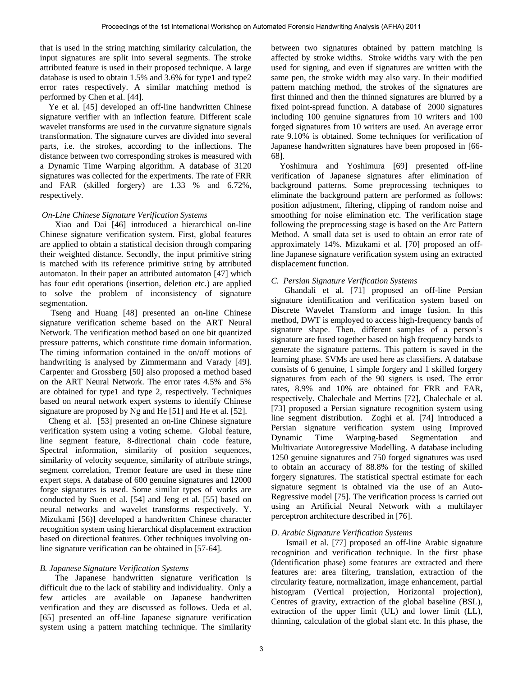that is used in the string matching similarity calculation, the input signatures are split into several segments. The stroke attributed feature is used in their proposed technique. A large database is used to obtain 1.5% and 3.6% for type1 and type2 error rates respectively. A similar matching method is performed by Chen et al. [44].

 Ye et al. [45] developed an off-line handwritten Chinese signature verifier with an inflection feature. Different scale wavelet transforms are used in the curvature signature signals transformation. The signature curves are divided into several parts, i.e. the strokes, according to the inflections. The distance between two corresponding strokes is measured with a Dynamic Time Warping algorithm. A database of 3120 signatures was collected for the experiments. The rate of FRR and FAR (skilled forgery) are 1.33 % and 6.72%, respectively.

#### *On-Line Chinese Signature Verification Systems*

Xiao and Dai [46] introduced a hierarchical on-line Chinese signature verification system. First, global features are applied to obtain a statistical decision through comparing their weighted distance. Secondly, the input primitive string is matched with its reference primitive string by attributed automaton. In their paper an attributed automaton [47] which has four edit operations (insertion, deletion etc.) are applied to solve the problem of inconsistency of signature segmentation.

 Tseng and Huang [48] presented an on-line Chinese signature verification scheme based on the ART Neural Network. The verification method based on one bit quantized pressure patterns, which constitute time domain information. The timing information contained in the on/off motions of handwriting is analysed by Zimmermann and Varady [49]. Carpenter and Grossberg [50] also proposed a method based on the ART Neural Network. The error rates 4.5% and 5% are obtained for type1 and type 2, respectively. Techniques based on neural network expert systems to identify Chinese signature are proposed by Ng and He [51] and He et al. [52].

 Cheng et al. [53] presented an on-line Chinese signature verification system using a voting scheme. Global feature, line segment feature, 8-directional chain code feature, Spectral information, similarity of position sequences, similarity of velocity sequence, similarity of attribute strings, segment correlation, Tremor feature are used in these nine expert steps. A database of 600 genuine signatures and 12000 forge signatures is used. Some similar types of works are conducted by Suen et al. [54] and Jeng et al. [55] based on neural networks and wavelet transforms respectively. Y. Mizukami [56)] developed a handwritten Chinese character recognition system using hierarchical displacement extraction based on directional features. Other techniques involving online signature verification can be obtained in [57-64].

#### *B. Japanese Signature Verification Systems*

 The Japanese handwritten signature verification is difficult due to the lack of stability and individuality. Only a few articles are available on Japanese handwritten verification and they are discussed as follows. Ueda et al. [65] presented an off-line Japanese signature verification system using a pattern matching technique. The similarity

between two signatures obtained by pattern matching is affected by stroke widths. Stroke widths vary with the pen used for signing, and even if signatures are written with the same pen, the stroke width may also vary. In their modified pattern matching method, the strokes of the signatures are first thinned and then the thinned signatures are blurred by a fixed point-spread function. A database of 2000 signatures including 100 genuine signatures from 10 writers and 100 forged signatures from 10 writers are used. An average error rate 9.10% is obtained. Some techniques for verification of Japanese handwritten signatures have been proposed in [66- 68].

 Yoshimura and Yoshimura [69] presented off-line verification of Japanese signatures after elimination of background patterns. Some preprocessing techniques to eliminate the background pattern are performed as follows: position adjustment, filtering, clipping of random noise and smoothing for noise elimination etc. The verification stage following the preprocessing stage is based on the Arc Pattern Method. A small data set is used to obtain an error rate of approximately 14%. Mizukami et al. [70] proposed an offline Japanese signature verification system using an extracted displacement function.

#### *C. Persian Signature Verification Systems*

 Ghandali et al. [71] proposed an off-line Persian signature identification and verification system based on Discrete Wavelet Transform and image fusion. In this method, DWT is employed to access high-frequency bands of signature shape. Then, different samples of a person's signature are fused together based on high frequency bands to generate the signature patterns. This pattern is saved in the learning phase. SVMs are used here as classifiers. A database consists of 6 genuine, 1 simple forgery and 1 skilled forgery signatures from each of the 90 signers is used. The error rates, 8.9% and 10% are obtained for FRR and FAR, respectively. Chalechale and Mertins [72], Chalechale et al. [73] proposed a Persian signature recognition system using line segment distribution. Zoghi et al. [74] introduced a Persian signature verification system using Improved Dynamic Time Warping-based Segmentation and Multivariate Autoregressive Modelling. A database including 1250 genuine signatures and 750 forged signatures was used to obtain an accuracy of 88.8% for the testing of skilled forgery signatures. The statistical spectral estimate for each signature segment is obtained via the use of an Auto-Regressive model [75]. The verification process is carried out using an Artificial Neural Network with a multilayer perceptron architecture described in [76].

#### *D. Arabic Signature Verification Systems*

 Ismail et al. [77] proposed an off-line Arabic signature recognition and verification technique. In the first phase (Identification phase) some features are extracted and there features are: area filtering, translation, extraction of the circularity feature, normalization, image enhancement, partial histogram (Vertical projection, Horizontal projection), Centres of gravity, extraction of the global baseline (BSL), extraction of the upper limit (UL) and lower limit (LL), thinning, calculation of the global slant etc. In this phase, the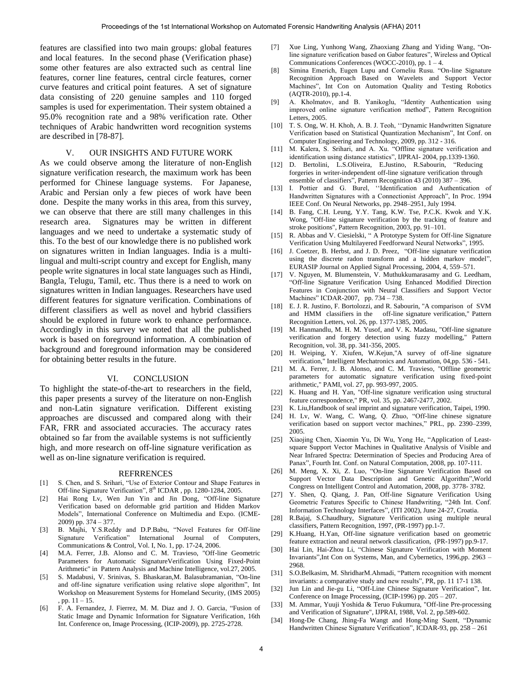features are classified into two main groups: global features and local features. In the second phase (Verification phase) some other features are also extracted such as central line features, corner line features, central circle features, corner curve features and critical point features. A set of signature data consisting of 220 genuine samples and 110 forged samples is used for experimentation. Their system obtained a 95.0% recognition rate and a 98% verification rate. Other techniques of Arabic handwritten word recognition systems are described in [78-87].

#### V. OUR INSIGHTS AND FUTURE WORK

As we could observe among the literature of non-English signature verification research, the maximum work has been performed for Chinese language systems. For Japanese, Arabic and Persian only a few pieces of work have been done. Despite the many works in this area, from this survey, we can observe that there are still many challenges in this research area. Signatures may be written in different languages and we need to undertake a systematic study of this. To the best of our knowledge there is no published work on signatures written in Indian languages. India is a multilingual and multi-script country and except for English, many people write signatures in local state languages such as Hindi, Bangla, Telugu, Tamil, etc. Thus there is a need to work on signatures written in Indian languages. Researchers have used different features for signature verification. Combinations of different classifiers as well as novel and hybrid classifiers should be explored in future work to enhance performance. Accordingly in this survey we noted that all the published work is based on foreground information. A combination of background and foreground information may be considered for obtaining better results in the future.

#### VI. CONCLUSION

To highlight the state-of-the-art to researchers in the field, this paper presents a survey of the literature on non-English and non-Latin signature verification. Different existing approaches are discussed and compared along with their FAR, FRR and associated accuracies. The accuracy rates obtained so far from the available systems is not sufficiently high, and more research on off-line signature verification as well as on-line signature verification is required.

#### REFRRENCES

- [1] S. Chen, and S. Srihari, "Use of Exterior Contour and Shape Features in Off-line Signature Verification", 8<sup>th</sup> ICDAR, pp. 1280-1284, 2005.
- [2] Hai Rong Lv, Wen Jun Yin and Jin Dong, "Off-line Signature Verification based on deformable grid partition and Hidden Markov Models", International Conference on Multimedia and Expo. (ICME-2009) pp. 374 – 377.
- [3] B. Majhi, Y.S.Reddy and D.P.Babu, "Novel Features for Off-line Signature Verification" International Journal of Computers, Communications & Control, Vol. I, No. 1, pp. 17-24, 2006.
- [4] M.A. Ferrer, J.B. Alonso and C. M. Travieso, "Off-line Geometric Parameters for Automatic SignatureVerification Using Fixed-Point Arithmetic" in Pattern Analysis and Machine Intelligence, vol.27, 2005.
- [5] S. Madabusi, V. Srinivas, S. Bhaskaran,M. Balasubramanian, "On-line and off-line signature verification using relative slope algorithm", Int Workshop on Measurement Systems for Homeland Security, (IMS 2005) , pp. 11 – 15.
- [6] F. A. Fernandez, J. Fierrez, M. M. Diaz and J. O. Garcia, "Fusion of Static Image and Dynamic Information for Signature Verification, 16th Int. Conference on, Image Processing, (ICIP-2009), pp. 2725-2728.
- [7] Xue Ling, Yunhong Wang, Zhaoxiang Zhang and Yiding Wang, "Online signature verification based on Gabor features", Wireless and Optical Communications Conferences (WOCC-2010), pp.  $1 - 4$ .
- [8] Simina Emerich, Eugen Lupu and Corneliu Rusu. "On-line Signature Recognition Approach Based on Wavelets and Support Vector Machines", Int Con on Automation Quality and Testing Robotics (AQTR-2010), pp.1-4.
- [9] A. Kholmatov, and B. Yanikoglu, "Identity Authentication using improved online signature verification method", Pattern Recognition Letters, 2005.
- [10] T. S. Ong, W. H. Khoh, A. B. J. Teoh, "Dynamic Handwritten Signature Verification based on Statistical Quantization Mechanism", Int Conf. on Computer Engineering and Technology, 2009, pp. 312 - 316.
- [11] M. Kalera, S. Srihari, and A. Xu. "Offline signature verification and identification using distance statistics", IJPRAI- 2004, pp.1339-1360.
- [12] D. Bertolini, L.S.Oliveira, E.Justino, R.Sabourin, "Reducing forgeries in writer-independent off-line signature verification through ensemble of classifiers", Pattern Recognition 43 (2010) 387 – 396.
- [13] I. Pottier and G. Burel, "Identification and Authentication of Handwritten Signatures with a Connectionist Approach", In Proc. 1994 IEEE Conf. On Neural Networks, pp. 2948–2951, July 1994.
- [14] B. Fang, C.H. Leung, Y.Y. Tang, K.W. Tse, P.C.K. Kwok and Y.K. Wong, "Off-line signature verification by the tracking of feature and stroke positions", Pattern Recognition, 2003, pp. 91–101.
- [15] R. Abbas and V. Ciesielski, "A Prototype System for Off-line Signature Verification Using Multilayered Feedforward Neural Networks", 1995.
- [16] J. Coetzer, B. Herbst, and J. D. Preez, "Off-line signature verification using the discrete radon transform and a hidden markov model", EURASIP Journal on Applied Signal Processing, 2004, 4, 559–571.
- [17] V. Nguyen, M. Blumenstein, V. Muthukkumarasamy and G. Leedham, "Off-line Signature Verification Using Enhanced Modified Direction Features in Conjunction with Neural Classifiers and Support Vector Machines" ICDAR-2007, pp. 734 – 738.
- [18] E. J. R. Justino, F. Bortolozzi, and R. Sabourin, "A comparison of SVM and HMM classifiers in the off-line signature verification," Pattern Recognition Letters, vol. 26, pp. 1377-1385, 2005.
- [19] M. Hanmandlu, M. H. M. Yusof, and V. K. Madasu, "Off-line signature verification and forgery detection using fuzzy modelling," Pattern Recognition, vol. 38, pp. 341-356, 2005.
- [20] H. Weiping, Y. Xiufen, W.Kejun,"A survey of off-line signature verification," Intelligent Mechatronics and Automation, 04,pp. 536 - 541.
- [21] M. A. Ferrer, J. B. Alonso, and C. M. Travieso, "Offline geometric parameters for automatic signature verification using fixed-point arithmetic," PAMI, vol. 27, pp. 993-997, 2005.
- [22] K. Huang and H. Yan, "Off-line signature verification using structural feature correspondence," PR, vol. 35, pp. 2467-2477, 2002.
- [23] K. Liu, Handbook of seal imprint and signature verification, Taipei, 1990.
- [24] H. Lv, W. Wang, C. Wang, Q. Zhuo, "Off-line chinese signature verification based on support vector machines," PRL, pp. 2390–2399, 2005.
- [25] Xiaojing Chen, Xiaomin Yu, Di Wu, Yong He, "Application of Leastsquare Support Vector Machines in Qualitative Analysis of Visible and Near Infrared Spectra: Determination of Species and Producing Area of Panax", Fourth Int. Conf. on Natural Computation, 2008, pp. 107-111.
- [26] M. Meng, X. Xi, Z. Luo, "On-line Signature Verification Based on Support Vector Data Description and Genetic Algorithm",World Congress on Intelligent Control and Automation, 2008, pp. 3778- 3782.
- [27] Y. Shen, Q. Qiang, J. Pan, Off-line Signature Verification Using Geometric Features Specific to Chinese Handwriting, "24th Int. Conf. Information Technology Interfaces", (ITI 2002), June 24-27, Croatia.
- [28] R.Bajaj, S.Chaudhury, Signature Verification using multiple neural classifiers, Pattern Recognition, 1997, (PR-1997) pp.1-7.
- [29] K.Huang, H.Yan, Off-line signature verification based on geometric feature extraction and neural network classification, (PR-1997) pp.9-17.
- [30] Hai Lin, Hai-Zhou Li, "Chinese Signature Verification with Moment Invariants",Int Con on Systems, Man, and Cybernetics, 1996,pp. 2963 – 2968.
- [31] S.O.Belkasim, M. ShridharM.Ahmadi, "Pattern recognition with moment invariants: a comparative study and new results", PR, pp. 11 17-1 138.
- [32] Jun Lin and Jie-gu Li, "Off-Line Chinese Signature Verification", Int. Conference on Image Processing, (ICIP-1996) pp. 205 – 207.
- [33] M. Ammar, Yuuji Yoshida & Teruo Fukumura, "Off-line Pre-processing and Verification of Signature", IJPRAI, 1988, Vol. 2, pp.589-602.
- Hong-De Chang, Jhing-Fa Wangt and Hong-Ming Suent, "Dynamic Handwritten Chinese Signature Verification", ICDAR-93, pp. 258 – 261